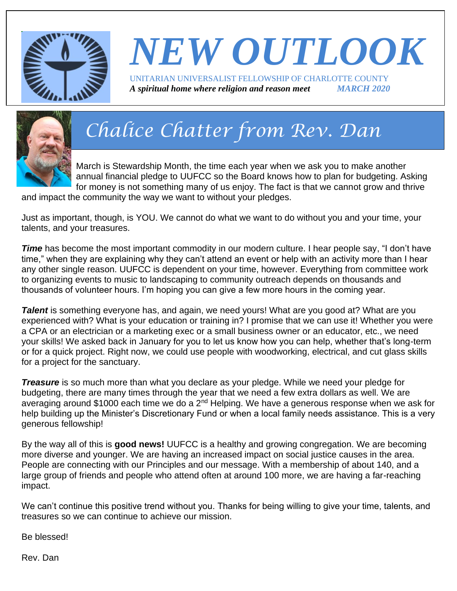

## *NEW OUTLOOK* UNITARIAN UNIVERSALIST FELLOWSHIP OF CHARLOTTE COUNTY

*A spiritual home where religion and reason meet MARCH 2020*



## *Chalice Chatter from Rev. Dan*

March is Stewardship Month, the time each year when we ask you to make another annual financial pledge to UUFCC so the Board knows how to plan for budgeting. Asking for money is not something many of us enjoy. The fact is that we cannot grow and thrive

and impact the community the way we want to without your pledges.

Just as important, though, is YOU. We cannot do what we want to do without you and your time, your talents, and your treasures.

**Time** has become the most important commodity in our modern culture. I hear people say, "I don't have time," when they are explaining why they can't attend an event or help with an activity more than I hear any other single reason. UUFCC is dependent on your time, however. Everything from committee work to organizing events to music to landscaping to community outreach depends on thousands and thousands of volunteer hours. I'm hoping you can give a few more hours in the coming year.

**Talent** is something everyone has, and again, we need yours! What are you good at? What are you experienced with? What is your education or training in? I promise that we can use it! Whether you were a CPA or an electrician or a marketing exec or a small business owner or an educator, etc., we need your skills! We asked back in January for you to let us know how you can help, whether that's long-term or for a quick project. Right now, we could use people with woodworking, electrical, and cut glass skills for a project for the sanctuary.

**Treasure** is so much more than what you declare as your pledge. While we need your pledge for budgeting, there are many times through the year that we need a few extra dollars as well. We are averaging around \$1000 each time we do a  $2<sup>nd</sup>$  Helping. We have a generous response when we ask for help building up the Minister's Discretionary Fund or when a local family needs assistance. This is a very generous fellowship!

By the way all of this is **good news!** UUFCC is a healthy and growing congregation. We are becoming more diverse and younger. We are having an increased impact on social justice causes in the area. People are connecting with our Principles and our message. With a membership of about 140, and a large group of friends and people who attend often at around 100 more, we are having a far-reaching impact.

We can't continue this positive trend without you. Thanks for being willing to give your time, talents, and treasures so we can continue to achieve our mission.

Be blessed!

Rev. Dan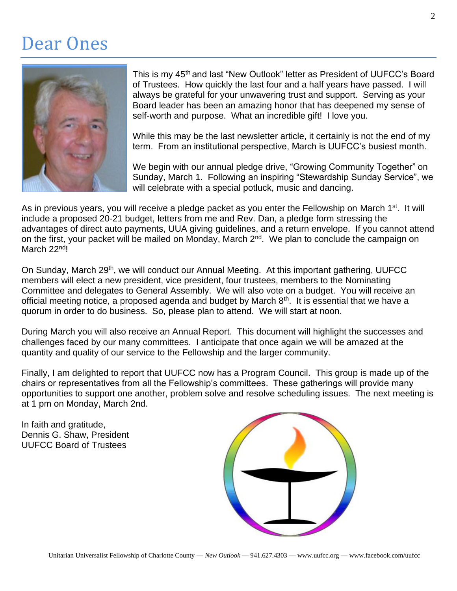### Dear Ones



This is my 45<sup>th</sup> and last "New Outlook" letter as President of UUFCC's Board of Trustees. How quickly the last four and a half years have passed. I will always be grateful for your unwavering trust and support. Serving as your Board leader has been an amazing honor that has deepened my sense of self-worth and purpose. What an incredible gift! I love you.

While this may be the last newsletter article, it certainly is not the end of my term. From an institutional perspective, March is UUFCC's busiest month.

We begin with our annual pledge drive, "Growing Community Together" on Sunday, March 1. Following an inspiring "Stewardship Sunday Service", we will celebrate with a special potluck, music and dancing.

As in previous years, you will receive a pledge packet as you enter the Fellowship on March 1<sup>st</sup>. It will include a proposed 20-21 budget, letters from me and Rev. Dan, a pledge form stressing the advantages of direct auto payments, UUA giving guidelines, and a return envelope. If you cannot attend on the first, your packet will be mailed on Monday, March 2<sup>nd</sup>. We plan to conclude the campaign on March 22nd!

On Sunday, March 29<sup>th</sup>, we will conduct our Annual Meeting. At this important gathering, UUFCC members will elect a new president, vice president, four trustees, members to the Nominating Committee and delegates to General Assembly. We will also vote on a budget. You will receive an official meeting notice, a proposed agenda and budget by March 8<sup>th</sup>. It is essential that we have a quorum in order to do business. So, please plan to attend. We will start at noon.

During March you will also receive an Annual Report. This document will highlight the successes and challenges faced by our many committees. I anticipate that once again we will be amazed at the quantity and quality of our service to the Fellowship and the larger community.

Finally, I am delighted to report that UUFCC now has a Program Council. This group is made up of the chairs or representatives from all the Fellowship's committees. These gatherings will provide many opportunities to support one another, problem solve and resolve scheduling issues. The next meeting is at 1 pm on Monday, March 2nd.

In faith and gratitude, Dennis G. Shaw, President UUFCC Board of Trustees

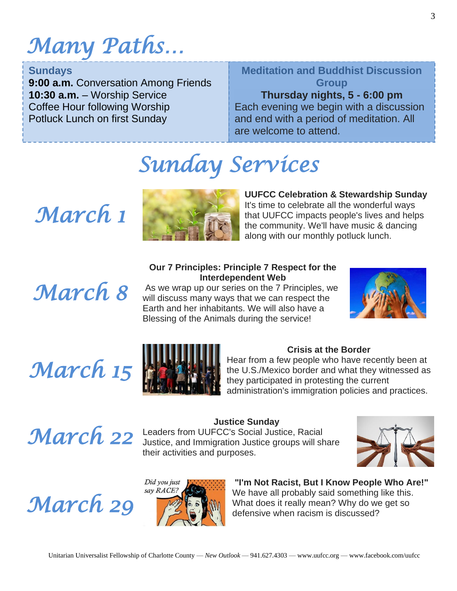## *Many Paths…*

#### **Sundays**

**9:00 a.m.** Conversation Among Friends **10:30 a.m.** – Worship Service Coffee Hour following Worship Potluck Lunch on first Sunday

### **Meditation and Buddhist Discussion Group**

#### **Thursday nights, 5 - 6:00 pm**

 $\overline{a}$ Each evening we begin with a discussion and end with a period of meditation. All are welcome to attend.

## *Sunday Services*

## *March 1*



**UUFCC Celebration & Stewardship Sunday** It's time to celebrate all the wonderful ways that UUFCC impacts people's lives and helps the community. We'll have music & dancing along with our monthly potluck lunch.

## *March 8*

#### **Our 7 Principles: Principle 7 Respect for the Interdependent Web**

As we wrap up our series on the 7 Principles, we will discuss many ways that we can respect the Earth and her inhabitants. We will also have a Blessing of the Animals during the service!



# *March 15*



#### **Crisis at the Border**

Hear from a few people who have recently been at the U.S./Mexico border and what they witnessed as they participated in protesting the current administration's immigration policies and practices.

#### **Justice Sunday**

*March 22* Leaders from UUFCC's Social Justice, Racial Justice of Accial Justice, Racial Justice, Racial States. Justice, and Immigration Justice groups will share their activities and purposes.



# *March 29*



#### **"I'm Not Racist, But I Know People Who Are!"** We have all probably said something like this. What does it really mean? Why do we get so defensive when racism is discussed?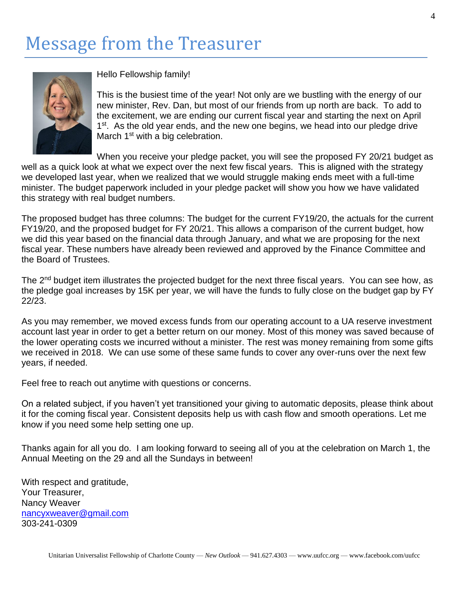## Message from the Treasurer



Hello Fellowship family!

This is the busiest time of the year! Not only are we bustling with the energy of our new minister, Rev. Dan, but most of our friends from up north are back. To add to the excitement, we are ending our current fiscal year and starting the next on April 1<sup>st</sup>. As the old year ends, and the new one begins, we head into our pledge drive March 1<sup>st</sup> with a big celebration.

When you receive your pledge packet, you will see the proposed FY 20/21 budget as well as a quick look at what we expect over the next few fiscal years. This is aligned with the strategy we developed last year, when we realized that we would struggle making ends meet with a full-time minister. The budget paperwork included in your pledge packet will show you how we have validated this strategy with real budget numbers.

The proposed budget has three columns: The budget for the current FY19/20, the actuals for the current FY19/20, and the proposed budget for FY 20/21. This allows a comparison of the current budget, how we did this year based on the financial data through January, and what we are proposing for the next fiscal year. These numbers have already been reviewed and approved by the Finance Committee and the Board of Trustees.

The 2<sup>nd</sup> budget item illustrates the projected budget for the next three fiscal years. You can see how, as the pledge goal increases by 15K per year, we will have the funds to fully close on the budget gap by FY 22/23.

As you may remember, we moved excess funds from our operating account to a UA reserve investment account last year in order to get a better return on our money. Most of this money was saved because of the lower operating costs we incurred without a minister. The rest was money remaining from some gifts we received in 2018. We can use some of these same funds to cover any over-runs over the next few years, if needed.

Feel free to reach out anytime with questions or concerns.

On a related subject, if you haven't yet transitioned your giving to automatic deposits, please think about it for the coming fiscal year. Consistent deposits help us with cash flow and smooth operations. Let me know if you need some help setting one up.

Thanks again for all you do. I am looking forward to seeing all of you at the celebration on March 1, the Annual Meeting on the 29 and all the Sundays in between!

With respect and gratitude, Your Treasurer, Nancy Weaver [nancyxweaver@gmail.com](mailto:nancyxweaver@gmail.com) 303-241-0309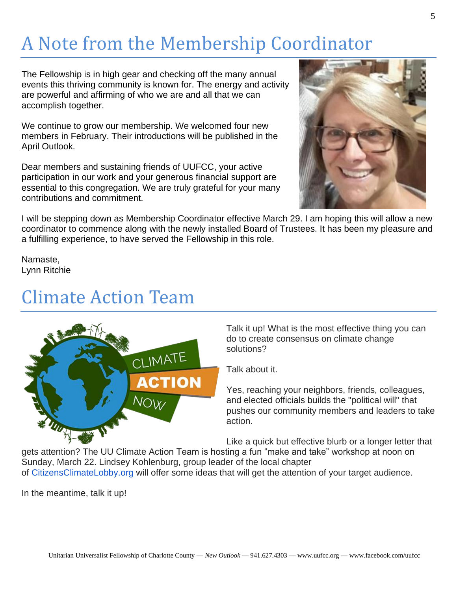## A Note from the Membership Coordinator

The Fellowship is in high gear and checking off the many annual events this thriving community is known for. The energy and activity are powerful and affirming of who we are and all that we can accomplish together.

We continue to grow our membership. We welcomed four new members in February. Their introductions will be published in the April Outlook.

Dear members and sustaining friends of UUFCC, your active participation in our work and your generous financial support are essential to this congregation. We are truly grateful for your many contributions and commitment.



I will be stepping down as Membership Coordinator effective March 29. I am hoping this will allow a new coordinator to commence along with the newly installed Board of Trustees. It has been my pleasure and a fulfilling experience, to have served the Fellowship in this role.

Namaste, Lynn Ritchie

### Climate Action Team



Talk it up! What is the most effective thing you can do to create consensus on climate change solutions?

Talk about it.

Yes, reaching your neighbors, friends, colleagues, and elected officials builds the "political will" that pushes our community members and leaders to take action.

Like a quick but effective blurb or a longer letter that

gets attention? The UU Climate Action Team is hosting a fun "make and take" workshop at noon on Sunday, March 22. Lindsey Kohlenburg, group leader of the local chapter of [CitizensClimateLobby.org](http://citizensclimatelobby.org/) will offer some ideas that will get the attention of your target audience.

In the meantime, talk it up!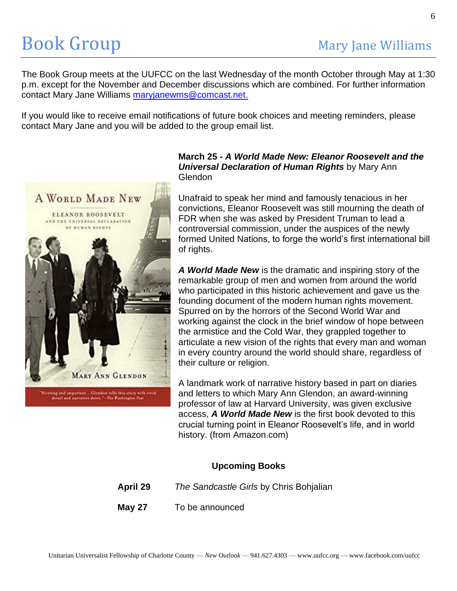The Book Group meets at the UUFCC on the last Wednesday of the month October through May at 1:30 p.m. except for the November and December discussions which are combined. For further information contact Mary Jane Williams [maryjanewms@comcast.net.](mailto:maryjanewms@comcast.net)

If you would like to receive email notifications of future book choices and meeting reminders, please contact Mary Jane and you will be added to the group email list.



Riveting and important...Clendon tells this story with vivid<br>detail and narrative drive."-The Foshington Post

#### **March 25** *- A World Made New: Eleanor Roosevelt and the Universal Declaration of Human Rights* by Mary Ann Glendon

Unafraid to speak her mind and famously tenacious in her convictions, Eleanor Roosevelt was still mourning the death of FDR when she was asked by President Truman to lead a controversial commission, under the auspices of the newly formed United Nations, to forge the world's first international bill of rights.

*A World Made New* is the dramatic and inspiring story of the remarkable group of men and women from around the world who participated in this historic achievement and gave us the founding document of the modern human rights movement. Spurred on by the horrors of the Second World War and working against the clock in the brief window of hope between the armistice and the Cold War, they grappled together to articulate a new vision of the rights that every man and woman in every country around the world should share, regardless of their culture or religion.

A landmark work of narrative history based in part on diaries and letters to which Mary Ann Glendon, an award-winning professor of law at Harvard University, was given exclusive access, *A World Made New* is the first book devoted to this crucial turning point in Eleanor Roosevelt's life, and in world history. (from Amazon.com)

#### **Upcoming Books**

**April 29** *The Sandcastle Girls* by Chris Bohjalian

**May 27** To be announced

Unitarian Universalist Fellowship of Charlotte County — *New Outlook* — 941.627.4303 — www.uufcc.org — www.facebook.com/uufcc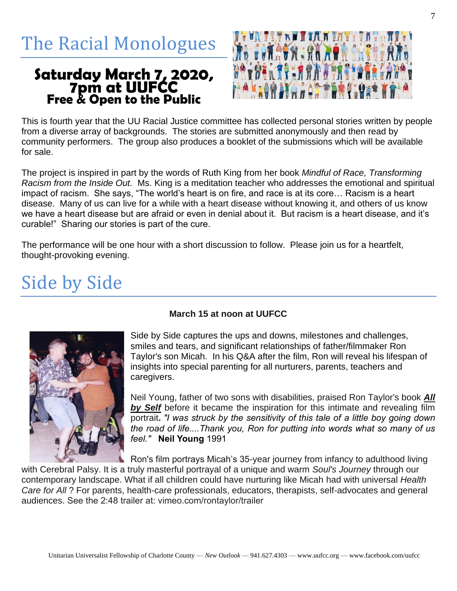The Racial Monologues

## **Saturday March 7, 2020, 7pm at UUFCC Free & Open to the Public**



This is fourth year that the UU Racial Justice committee has collected personal stories written by people from a diverse array of backgrounds. The stories are submitted anonymously and then read by community performers. The group also produces a booklet of the submissions which will be available for sale.

The project is inspired in part by the words of Ruth King from her book *Mindful of Race, Transforming Racism from the Inside Out.* Ms. King is a meditation teacher who addresses the emotional and spiritual impact of racism. She says, "The world's heart is on fire, and race is at its core… Racism is a heart disease. Many of us can live for a while with a heart disease without knowing it, and others of us know we have a heart disease but are afraid or even in denial about it. But racism is a heart disease, and it's curable!" Sharing our stories is part of the cure.

The performance will be one hour with a short discussion to follow. Please join us for a heartfelt, thought-provoking evening.

## Side by Side



#### **March 15 at noon at UUFCC**

Side by Side captures the ups and downs, milestones and challenges, smiles and tears, and significant relationships of father/filmmaker Ron Taylor's son Micah. In his Q&A after the film, Ron will reveal his lifespan of insights into special parenting for all nurturers, parents, teachers and caregivers.

Neil Young, father of two sons with disabilities, praised Ron Taylor's book *All by Self* before it became the inspiration for this intimate and revealing film portrait**.** *"I was struck by the sensitivity of this tale of a little boy going down the road of life....Thank you, Ron for putting into words what so many of us feel."* **Neil Young** 1991

Ron's film portrays Micah's 35-year journey from infancy to adulthood living

with Cerebral Palsy. It is a truly masterful portrayal of a unique and warm *Soul's Journey* through our contemporary landscape. What if all children could have nurturing like Micah had with universal *Health Care for All* ? For parents, health-care professionals, educators, therapists, self-advocates and general audiences. See the 2:48 trailer at: vimeo.com/rontaylor/trailer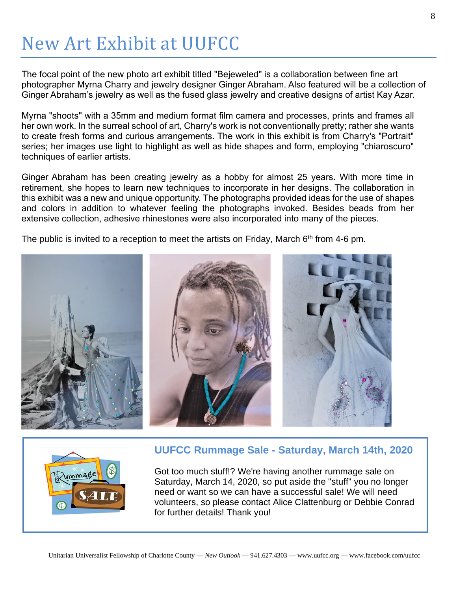## New Art Exhibit at UUFCC

The focal point of the new photo art exhibit titled "Bejeweled" is a collaboration between fine art photographer Myrna Charry and jewelry designer Ginger Abraham. Also featured will be a collection of Ginger Abraham's jewelry as well as the fused glass jewelry and creative designs of artist Kay Azar.

Myrna "shoots" with a 35mm and medium format film camera and processes, prints and frames all her own work. In the surreal school of art, Charry's work is not conventionally pretty; rather she wants to create fresh forms and curious arrangements. The work in this exhibit is from Charry's "Portrait" series; her images use light to highlight as well as hide shapes and form, employing "chiaroscuro" techniques of earlier artists.

Ginger Abraham has been creating jewelry as a hobby for almost 25 years. With more time in retirement, she hopes to learn new techniques to incorporate in her designs. The collaboration in this exhibit was a new and unique opportunity. The photographs provided ideas for the use of shapes and colors in addition to whatever feeling the photographs invoked. Besides beads from her extensive collection, adhesive rhinestones were also incorporated into many of the pieces.

The public is invited to a reception to meet the artists on Friday, March  $6<sup>th</sup>$  from 4-6 pm.





Got too much stuff!? We're having another rummage sale on Saturday, March 14, 2020, so put aside the "stuff" you no longer need or want so we can have a successful sale! We will need volunteers, so please contact Alice Clattenburg or Debbie Conrad for further details! Thank you!